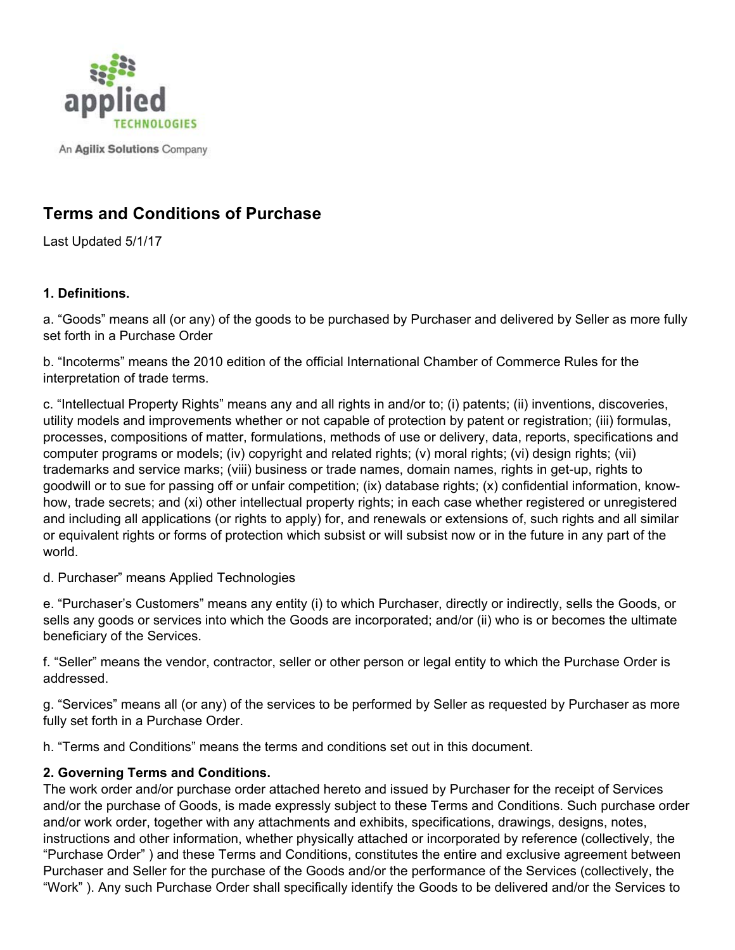

An Agilix Solutions Company

# **Terms and Conditions of Purchase**

Last Updated 5/1/17

#### **1. Definitions.**

a. "Goods" means all (or any) of the goods to be purchased by Purchaser and delivered by Seller as more fully set forth in a Purchase Order

b. "Incoterms" means the 2010 edition of the official International Chamber of Commerce Rules for the interpretation of trade terms.

c. "Intellectual Property Rights" means any and all rights in and/or to; (i) patents; (ii) inventions, discoveries, utility models and improvements whether or not capable of protection by patent or registration; (iii) formulas, processes, compositions of matter, formulations, methods of use or delivery, data, reports, specifications and computer programs or models; (iv) copyright and related rights; (v) moral rights; (vi) design rights; (vii) trademarks and service marks; (viii) business or trade names, domain names, rights in get-up, rights to goodwill or to sue for passing off or unfair competition; (ix) database rights; (x) confidential information, knowhow, trade secrets; and (xi) other intellectual property rights; in each case whether registered or unregistered and including all applications (or rights to apply) for, and renewals or extensions of, such rights and all similar or equivalent rights or forms of protection which subsist or will subsist now or in the future in any part of the world.

d. Purchaser" means Applied Technologies

e. "Purchaser's Customers" means any entity (i) to which Purchaser, directly or indirectly, sells the Goods, or sells any goods or services into which the Goods are incorporated; and/or (ii) who is or becomes the ultimate beneficiary of the Services.

f. "Seller" means the vendor, contractor, seller or other person or legal entity to which the Purchase Order is addressed.

g. "Services" means all (or any) of the services to be performed by Seller as requested by Purchaser as more fully set forth in a Purchase Order.

h. "Terms and Conditions" means the terms and conditions set out in this document.

## **2. Governing Terms and Conditions.**

The work order and/or purchase order attached hereto and issued by Purchaser for the receipt of Services and/or the purchase of Goods, is made expressly subject to these Terms and Conditions. Such purchase order and/or work order, together with any attachments and exhibits, specifications, drawings, designs, notes, instructions and other information, whether physically attached or incorporated by reference (collectively, the "Purchase Order" ) and these Terms and Conditions, constitutes the entire and exclusive agreement between Purchaser and Seller for the purchase of the Goods and/or the performance of the Services (collectively, the "Work" ). Any such Purchase Order shall specifically identify the Goods to be delivered and/or the Services to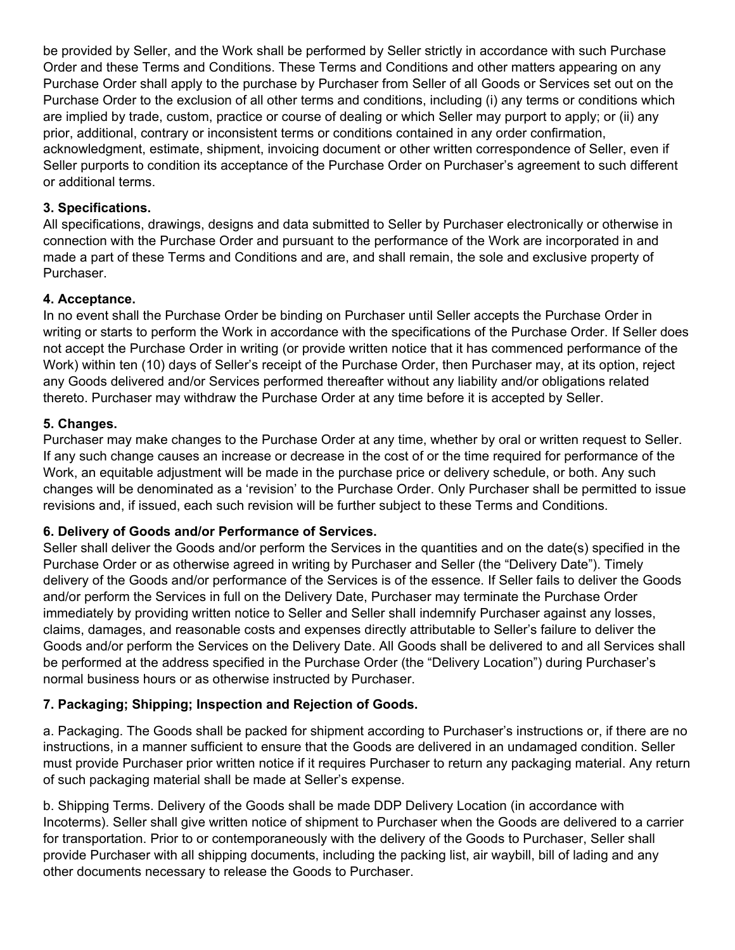be provided by Seller, and the Work shall be performed by Seller strictly in accordance with such Purchase Order and these Terms and Conditions. These Terms and Conditions and other matters appearing on any Purchase Order shall apply to the purchase by Purchaser from Seller of all Goods or Services set out on the Purchase Order to the exclusion of all other terms and conditions, including (i) any terms or conditions which are implied by trade, custom, practice or course of dealing or which Seller may purport to apply; or (ii) any prior, additional, contrary or inconsistent terms or conditions contained in any order confirmation, acknowledgment, estimate, shipment, invoicing document or other written correspondence of Seller, even if Seller purports to condition its acceptance of the Purchase Order on Purchaser's agreement to such different or additional terms.

#### **3. Specifications.**

All specifications, drawings, designs and data submitted to Seller by Purchaser electronically or otherwise in connection with the Purchase Order and pursuant to the performance of the Work are incorporated in and made a part of these Terms and Conditions and are, and shall remain, the sole and exclusive property of Purchaser.

#### **4. Acceptance.**

In no event shall the Purchase Order be binding on Purchaser until Seller accepts the Purchase Order in writing or starts to perform the Work in accordance with the specifications of the Purchase Order. If Seller does not accept the Purchase Order in writing (or provide written notice that it has commenced performance of the Work) within ten (10) days of Seller's receipt of the Purchase Order, then Purchaser may, at its option, reject any Goods delivered and/or Services performed thereafter without any liability and/or obligations related thereto. Purchaser may withdraw the Purchase Order at any time before it is accepted by Seller.

#### **5. Changes.**

Purchaser may make changes to the Purchase Order at any time, whether by oral or written request to Seller. If any such change causes an increase or decrease in the cost of or the time required for performance of the Work, an equitable adjustment will be made in the purchase price or delivery schedule, or both. Any such changes will be denominated as a 'revision' to the Purchase Order. Only Purchaser shall be permitted to issue revisions and, if issued, each such revision will be further subject to these Terms and Conditions.

## **6. Delivery of Goods and/or Performance of Services.**

Seller shall deliver the Goods and/or perform the Services in the quantities and on the date(s) specified in the Purchase Order or as otherwise agreed in writing by Purchaser and Seller (the "Delivery Date"). Timely delivery of the Goods and/or performance of the Services is of the essence. If Seller fails to deliver the Goods and/or perform the Services in full on the Delivery Date, Purchaser may terminate the Purchase Order immediately by providing written notice to Seller and Seller shall indemnify Purchaser against any losses, claims, damages, and reasonable costs and expenses directly attributable to Seller's failure to deliver the Goods and/or perform the Services on the Delivery Date. All Goods shall be delivered to and all Services shall be performed at the address specified in the Purchase Order (the "Delivery Location") during Purchaser's normal business hours or as otherwise instructed by Purchaser.

## **7. Packaging; Shipping; Inspection and Rejection of Goods.**

a. Packaging. The Goods shall be packed for shipment according to Purchaser's instructions or, if there are no instructions, in a manner sufficient to ensure that the Goods are delivered in an undamaged condition. Seller must provide Purchaser prior written notice if it requires Purchaser to return any packaging material. Any return of such packaging material shall be made at Seller's expense.

b. Shipping Terms. Delivery of the Goods shall be made DDP Delivery Location (in accordance with Incoterms). Seller shall give written notice of shipment to Purchaser when the Goods are delivered to a carrier for transportation. Prior to or contemporaneously with the delivery of the Goods to Purchaser, Seller shall provide Purchaser with all shipping documents, including the packing list, air waybill, bill of lading and any other documents necessary to release the Goods to Purchaser.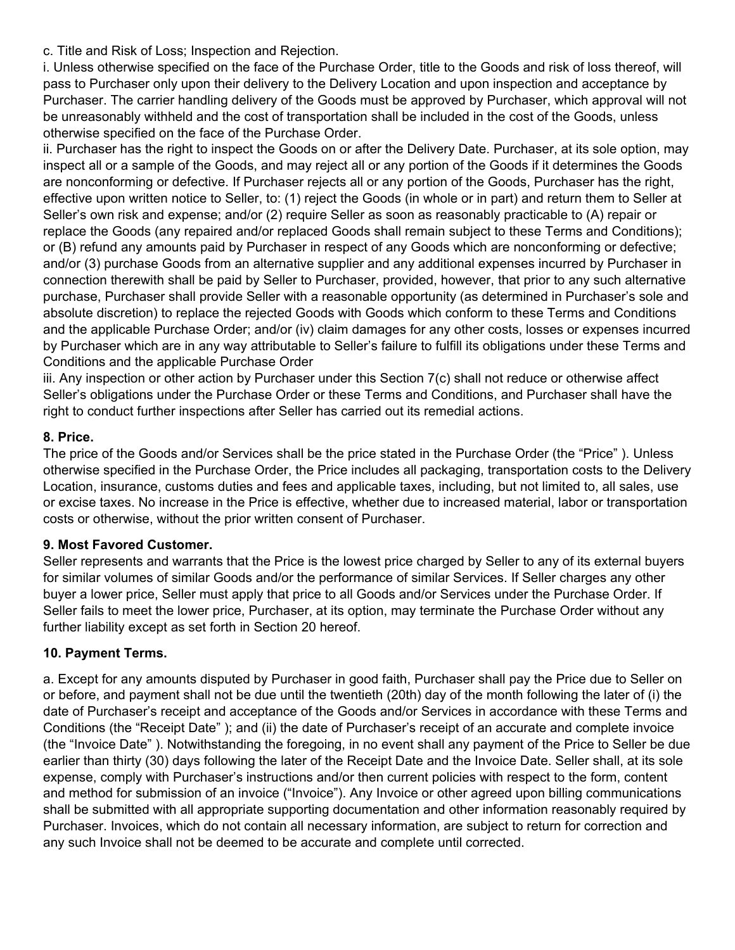c. Title and Risk of Loss; Inspection and Rejection.

i. Unless otherwise specified on the face of the Purchase Order, title to the Goods and risk of loss thereof, will pass to Purchaser only upon their delivery to the Delivery Location and upon inspection and acceptance by Purchaser. The carrier handling delivery of the Goods must be approved by Purchaser, which approval will not be unreasonably withheld and the cost of transportation shall be included in the cost of the Goods, unless otherwise specified on the face of the Purchase Order.

ii. Purchaser has the right to inspect the Goods on or after the Delivery Date. Purchaser, at its sole option, may inspect all or a sample of the Goods, and may reject all or any portion of the Goods if it determines the Goods are nonconforming or defective. If Purchaser rejects all or any portion of the Goods, Purchaser has the right, effective upon written notice to Seller, to: (1) reject the Goods (in whole or in part) and return them to Seller at Seller's own risk and expense; and/or (2) require Seller as soon as reasonably practicable to (A) repair or replace the Goods (any repaired and/or replaced Goods shall remain subject to these Terms and Conditions); or (B) refund any amounts paid by Purchaser in respect of any Goods which are nonconforming or defective; and/or (3) purchase Goods from an alternative supplier and any additional expenses incurred by Purchaser in connection therewith shall be paid by Seller to Purchaser, provided, however, that prior to any such alternative purchase, Purchaser shall provide Seller with a reasonable opportunity (as determined in Purchaser's sole and absolute discretion) to replace the rejected Goods with Goods which conform to these Terms and Conditions and the applicable Purchase Order; and/or (iv) claim damages for any other costs, losses or expenses incurred by Purchaser which are in any way attributable to Seller's failure to fulfill its obligations under these Terms and Conditions and the applicable Purchase Order

iii. Any inspection or other action by Purchaser under this Section 7(c) shall not reduce or otherwise affect Seller's obligations under the Purchase Order or these Terms and Conditions, and Purchaser shall have the right to conduct further inspections after Seller has carried out its remedial actions.

## **8. Price.**

The price of the Goods and/or Services shall be the price stated in the Purchase Order (the "Price" ). Unless otherwise specified in the Purchase Order, the Price includes all packaging, transportation costs to the Delivery Location, insurance, customs duties and fees and applicable taxes, including, but not limited to, all sales, use or excise taxes. No increase in the Price is effective, whether due to increased material, labor or transportation costs or otherwise, without the prior written consent of Purchaser.

#### **9. Most Favored Customer.**

Seller represents and warrants that the Price is the lowest price charged by Seller to any of its external buyers for similar volumes of similar Goods and/or the performance of similar Services. If Seller charges any other buyer a lower price, Seller must apply that price to all Goods and/or Services under the Purchase Order. If Seller fails to meet the lower price, Purchaser, at its option, may terminate the Purchase Order without any further liability except as set forth in Section 20 hereof.

## **10. Payment Terms.**

a. Except for any amounts disputed by Purchaser in good faith, Purchaser shall pay the Price due to Seller on or before, and payment shall not be due until the twentieth (20th) day of the month following the later of (i) the date of Purchaser's receipt and acceptance of the Goods and/or Services in accordance with these Terms and Conditions (the "Receipt Date" ); and (ii) the date of Purchaser's receipt of an accurate and complete invoice (the "Invoice Date" ). Notwithstanding the foregoing, in no event shall any payment of the Price to Seller be due earlier than thirty (30) days following the later of the Receipt Date and the Invoice Date. Seller shall, at its sole expense, comply with Purchaser's instructions and/or then current policies with respect to the form, content and method for submission of an invoice ("Invoice"). Any Invoice or other agreed upon billing communications shall be submitted with all appropriate supporting documentation and other information reasonably required by Purchaser. Invoices, which do not contain all necessary information, are subject to return for correction and any such Invoice shall not be deemed to be accurate and complete until corrected.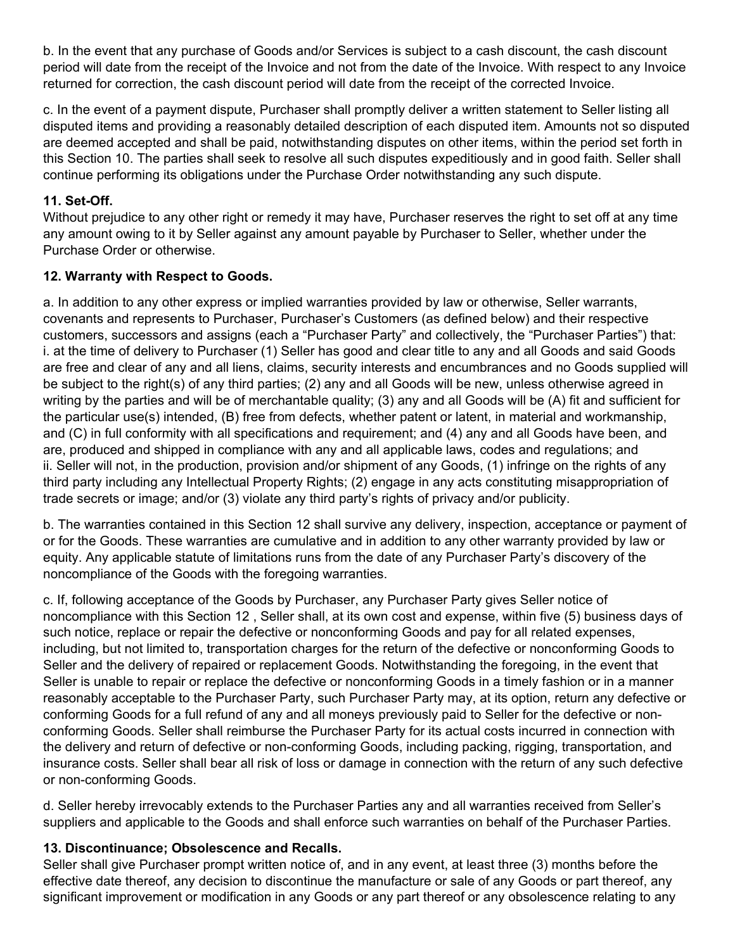b. In the event that any purchase of Goods and/or Services is subject to a cash discount, the cash discount period will date from the receipt of the Invoice and not from the date of the Invoice. With respect to any Invoice returned for correction, the cash discount period will date from the receipt of the corrected Invoice.

c. In the event of a payment dispute, Purchaser shall promptly deliver a written statement to Seller listing all disputed items and providing a reasonably detailed description of each disputed item. Amounts not so disputed are deemed accepted and shall be paid, notwithstanding disputes on other items, within the period set forth in this Section 10. The parties shall seek to resolve all such disputes expeditiously and in good faith. Seller shall continue performing its obligations under the Purchase Order notwithstanding any such dispute.

## **11. Set-Off.**

Without prejudice to any other right or remedy it may have, Purchaser reserves the right to set off at any time any amount owing to it by Seller against any amount payable by Purchaser to Seller, whether under the Purchase Order or otherwise.

# **12. Warranty with Respect to Goods.**

a. In addition to any other express or implied warranties provided by law or otherwise, Seller warrants, covenants and represents to Purchaser, Purchaser's Customers (as defined below) and their respective customers, successors and assigns (each a "Purchaser Party" and collectively, the "Purchaser Parties") that: i. at the time of delivery to Purchaser (1) Seller has good and clear title to any and all Goods and said Goods are free and clear of any and all liens, claims, security interests and encumbrances and no Goods supplied will be subject to the right(s) of any third parties; (2) any and all Goods will be new, unless otherwise agreed in writing by the parties and will be of merchantable quality; (3) any and all Goods will be (A) fit and sufficient for the particular use(s) intended, (B) free from defects, whether patent or latent, in material and workmanship, and (C) in full conformity with all specifications and requirement; and (4) any and all Goods have been, and are, produced and shipped in compliance with any and all applicable laws, codes and regulations; and ii. Seller will not, in the production, provision and/or shipment of any Goods, (1) infringe on the rights of any third party including any Intellectual Property Rights; (2) engage in any acts constituting misappropriation of trade secrets or image; and/or (3) violate any third party's rights of privacy and/or publicity.

b. The warranties contained in this Section 12 shall survive any delivery, inspection, acceptance or payment of or for the Goods. These warranties are cumulative and in addition to any other warranty provided by law or equity. Any applicable statute of limitations runs from the date of any Purchaser Party's discovery of the noncompliance of the Goods with the foregoing warranties.

c. If, following acceptance of the Goods by Purchaser, any Purchaser Party gives Seller notice of noncompliance with this Section 12 , Seller shall, at its own cost and expense, within five (5) business days of such notice, replace or repair the defective or nonconforming Goods and pay for all related expenses, including, but not limited to, transportation charges for the return of the defective or nonconforming Goods to Seller and the delivery of repaired or replacement Goods. Notwithstanding the foregoing, in the event that Seller is unable to repair or replace the defective or nonconforming Goods in a timely fashion or in a manner reasonably acceptable to the Purchaser Party, such Purchaser Party may, at its option, return any defective or conforming Goods for a full refund of any and all moneys previously paid to Seller for the defective or nonconforming Goods. Seller shall reimburse the Purchaser Party for its actual costs incurred in connection with the delivery and return of defective or non-conforming Goods, including packing, rigging, transportation, and insurance costs. Seller shall bear all risk of loss or damage in connection with the return of any such defective or non-conforming Goods.

d. Seller hereby irrevocably extends to the Purchaser Parties any and all warranties received from Seller's suppliers and applicable to the Goods and shall enforce such warranties on behalf of the Purchaser Parties.

## **13. Discontinuance; Obsolescence and Recalls.**

Seller shall give Purchaser prompt written notice of, and in any event, at least three (3) months before the effective date thereof, any decision to discontinue the manufacture or sale of any Goods or part thereof, any significant improvement or modification in any Goods or any part thereof or any obsolescence relating to any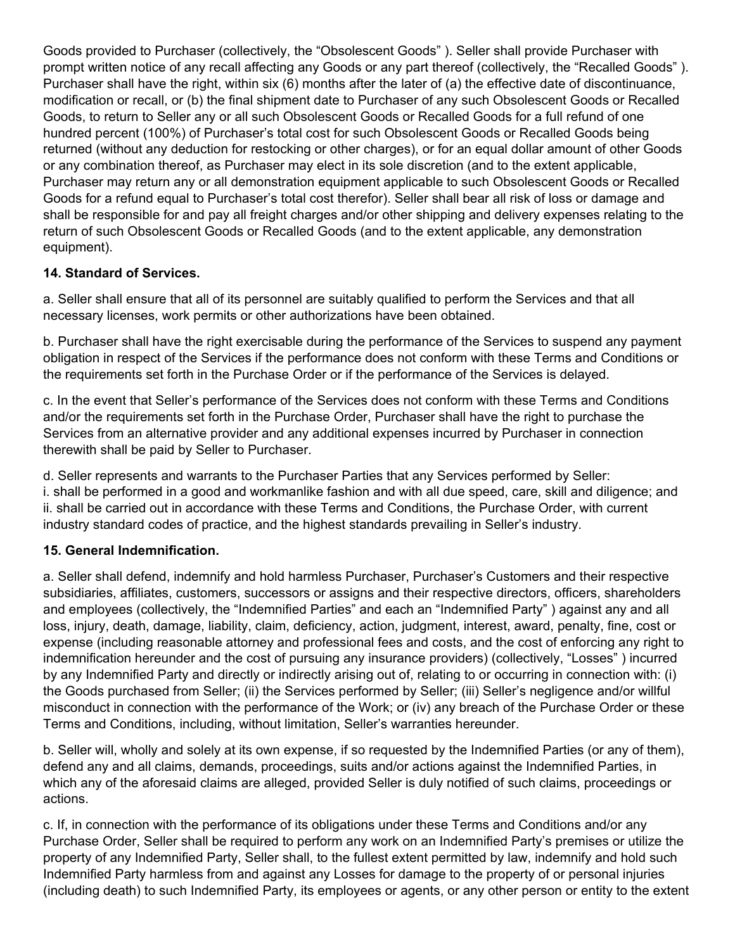Goods provided to Purchaser (collectively, the "Obsolescent Goods" ). Seller shall provide Purchaser with prompt written notice of any recall affecting any Goods or any part thereof (collectively, the "Recalled Goods" ). Purchaser shall have the right, within six (6) months after the later of (a) the effective date of discontinuance, modification or recall, or (b) the final shipment date to Purchaser of any such Obsolescent Goods or Recalled Goods, to return to Seller any or all such Obsolescent Goods or Recalled Goods for a full refund of one hundred percent (100%) of Purchaser's total cost for such Obsolescent Goods or Recalled Goods being returned (without any deduction for restocking or other charges), or for an equal dollar amount of other Goods or any combination thereof, as Purchaser may elect in its sole discretion (and to the extent applicable, Purchaser may return any or all demonstration equipment applicable to such Obsolescent Goods or Recalled Goods for a refund equal to Purchaser's total cost therefor). Seller shall bear all risk of loss or damage and shall be responsible for and pay all freight charges and/or other shipping and delivery expenses relating to the return of such Obsolescent Goods or Recalled Goods (and to the extent applicable, any demonstration equipment).

# **14. Standard of Services.**

a. Seller shall ensure that all of its personnel are suitably qualified to perform the Services and that all necessary licenses, work permits or other authorizations have been obtained.

b. Purchaser shall have the right exercisable during the performance of the Services to suspend any payment obligation in respect of the Services if the performance does not conform with these Terms and Conditions or the requirements set forth in the Purchase Order or if the performance of the Services is delayed.

c. In the event that Seller's performance of the Services does not conform with these Terms and Conditions and/or the requirements set forth in the Purchase Order, Purchaser shall have the right to purchase the Services from an alternative provider and any additional expenses incurred by Purchaser in connection therewith shall be paid by Seller to Purchaser.

d. Seller represents and warrants to the Purchaser Parties that any Services performed by Seller: i. shall be performed in a good and workmanlike fashion and with all due speed, care, skill and diligence; and ii. shall be carried out in accordance with these Terms and Conditions, the Purchase Order, with current industry standard codes of practice, and the highest standards prevailing in Seller's industry.

## **15. General Indemnification.**

a. Seller shall defend, indemnify and hold harmless Purchaser, Purchaser's Customers and their respective subsidiaries, affiliates, customers, successors or assigns and their respective directors, officers, shareholders and employees (collectively, the "Indemnified Parties" and each an "Indemnified Party" ) against any and all loss, injury, death, damage, liability, claim, deficiency, action, judgment, interest, award, penalty, fine, cost or expense (including reasonable attorney and professional fees and costs, and the cost of enforcing any right to indemnification hereunder and the cost of pursuing any insurance providers) (collectively, "Losses" ) incurred by any Indemnified Party and directly or indirectly arising out of, relating to or occurring in connection with: (i) the Goods purchased from Seller; (ii) the Services performed by Seller; (iii) Seller's negligence and/or willful misconduct in connection with the performance of the Work; or (iv) any breach of the Purchase Order or these Terms and Conditions, including, without limitation, Seller's warranties hereunder.

b. Seller will, wholly and solely at its own expense, if so requested by the Indemnified Parties (or any of them), defend any and all claims, demands, proceedings, suits and/or actions against the Indemnified Parties, in which any of the aforesaid claims are alleged, provided Seller is duly notified of such claims, proceedings or actions.

c. If, in connection with the performance of its obligations under these Terms and Conditions and/or any Purchase Order, Seller shall be required to perform any work on an Indemnified Party's premises or utilize the property of any Indemnified Party, Seller shall, to the fullest extent permitted by law, indemnify and hold such Indemnified Party harmless from and against any Losses for damage to the property of or personal injuries (including death) to such Indemnified Party, its employees or agents, or any other person or entity to the extent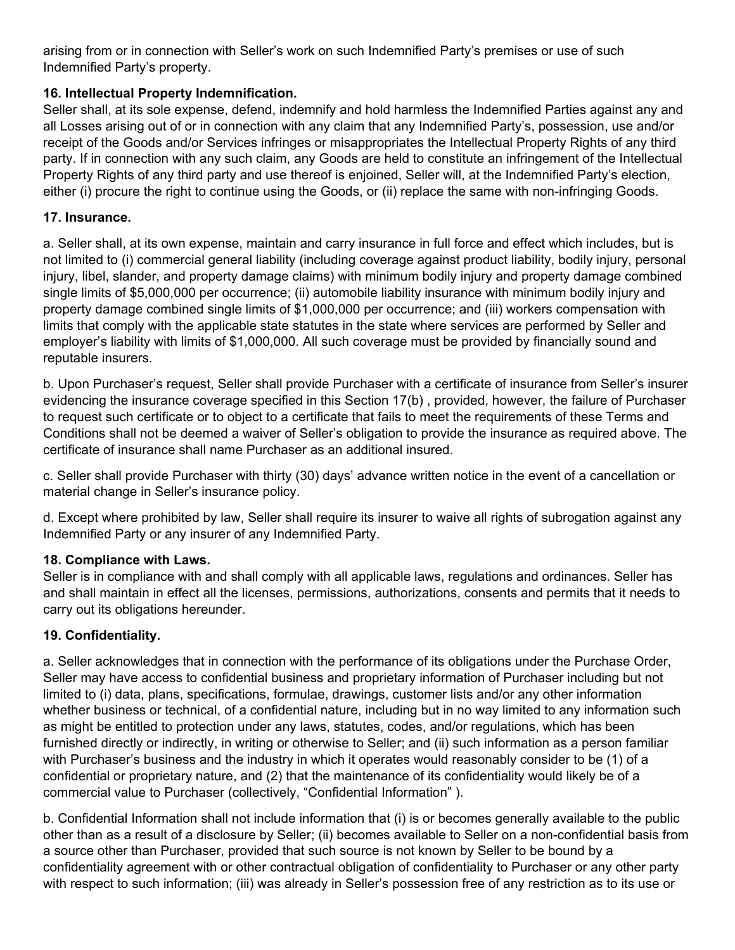arising from or in connection with Seller's work on such Indemnified Party's premises or use of such Indemnified Party's property.

# **16. Intellectual Property Indemnification.**

Seller shall, at its sole expense, defend, indemnify and hold harmless the Indemnified Parties against any and all Losses arising out of or in connection with any claim that any Indemnified Party's, possession, use and/or receipt of the Goods and/or Services infringes or misappropriates the Intellectual Property Rights of any third party. If in connection with any such claim, any Goods are held to constitute an infringement of the Intellectual Property Rights of any third party and use thereof is enjoined, Seller will, at the Indemnified Party's election, either (i) procure the right to continue using the Goods, or (ii) replace the same with non-infringing Goods.

## **17. Insurance.**

a. Seller shall, at its own expense, maintain and carry insurance in full force and effect which includes, but is not limited to (i) commercial general liability (including coverage against product liability, bodily injury, personal injury, libel, slander, and property damage claims) with minimum bodily injury and property damage combined single limits of \$5,000,000 per occurrence; (ii) automobile liability insurance with minimum bodily injury and property damage combined single limits of \$1,000,000 per occurrence; and (iii) workers compensation with limits that comply with the applicable state statutes in the state where services are performed by Seller and employer's liability with limits of \$1,000,000. All such coverage must be provided by financially sound and reputable insurers.

b. Upon Purchaser's request, Seller shall provide Purchaser with a certificate of insurance from Seller's insurer evidencing the insurance coverage specified in this Section 17(b) , provided, however, the failure of Purchaser to request such certificate or to object to a certificate that fails to meet the requirements of these Terms and Conditions shall not be deemed a waiver of Seller's obligation to provide the insurance as required above. The certificate of insurance shall name Purchaser as an additional insured.

c. Seller shall provide Purchaser with thirty (30) days' advance written notice in the event of a cancellation or material change in Seller's insurance policy.

d. Except where prohibited by law, Seller shall require its insurer to waive all rights of subrogation against any Indemnified Party or any insurer of any Indemnified Party.

## **18. Compliance with Laws.**

Seller is in compliance with and shall comply with all applicable laws, regulations and ordinances. Seller has and shall maintain in effect all the licenses, permissions, authorizations, consents and permits that it needs to carry out its obligations hereunder.

## **19. Confidentiality.**

a. Seller acknowledges that in connection with the performance of its obligations under the Purchase Order, Seller may have access to confidential business and proprietary information of Purchaser including but not limited to (i) data, plans, specifications, formulae, drawings, customer lists and/or any other information whether business or technical, of a confidential nature, including but in no way limited to any information such as might be entitled to protection under any laws, statutes, codes, and/or regulations, which has been furnished directly or indirectly, in writing or otherwise to Seller; and (ii) such information as a person familiar with Purchaser's business and the industry in which it operates would reasonably consider to be (1) of a confidential or proprietary nature, and (2) that the maintenance of its confidentiality would likely be of a commercial value to Purchaser (collectively, "Confidential Information" ).

b. Confidential Information shall not include information that (i) is or becomes generally available to the public other than as a result of a disclosure by Seller; (ii) becomes available to Seller on a non-confidential basis from a source other than Purchaser, provided that such source is not known by Seller to be bound by a confidentiality agreement with or other contractual obligation of confidentiality to Purchaser or any other party with respect to such information; (iii) was already in Seller's possession free of any restriction as to its use or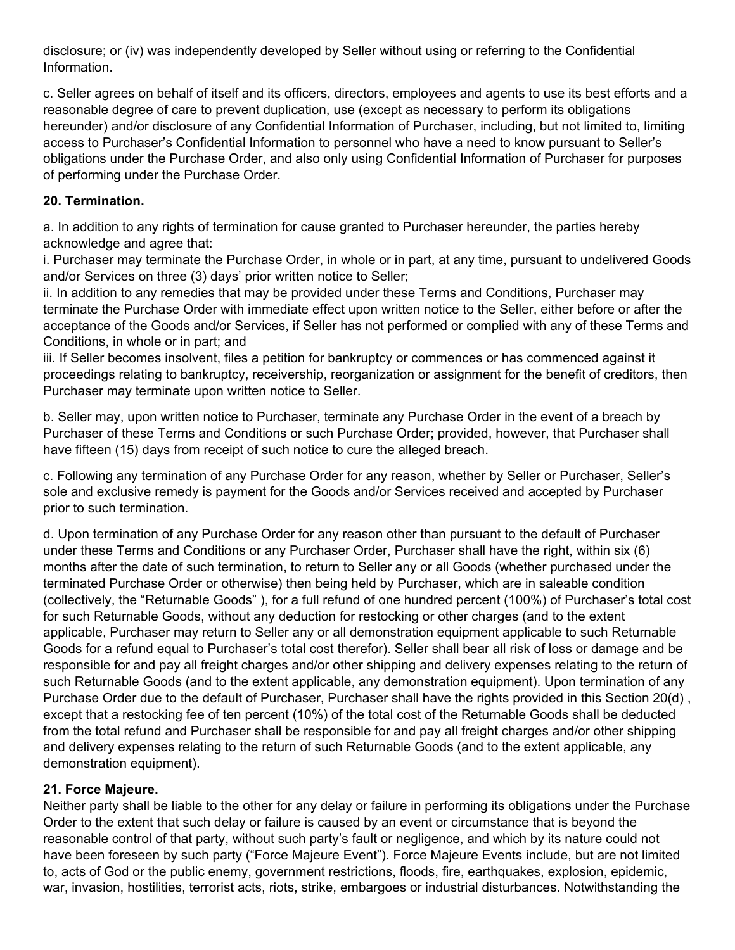disclosure; or (iv) was independently developed by Seller without using or referring to the Confidential Information.

c. Seller agrees on behalf of itself and its officers, directors, employees and agents to use its best efforts and a reasonable degree of care to prevent duplication, use (except as necessary to perform its obligations hereunder) and/or disclosure of any Confidential Information of Purchaser, including, but not limited to, limiting access to Purchaser's Confidential Information to personnel who have a need to know pursuant to Seller's obligations under the Purchase Order, and also only using Confidential Information of Purchaser for purposes of performing under the Purchase Order.

# **20. Termination.**

a. In addition to any rights of termination for cause granted to Purchaser hereunder, the parties hereby acknowledge and agree that:

i. Purchaser may terminate the Purchase Order, in whole or in part, at any time, pursuant to undelivered Goods and/or Services on three (3) days' prior written notice to Seller;

ii. In addition to any remedies that may be provided under these Terms and Conditions, Purchaser may terminate the Purchase Order with immediate effect upon written notice to the Seller, either before or after the acceptance of the Goods and/or Services, if Seller has not performed or complied with any of these Terms and Conditions, in whole or in part; and

iii. If Seller becomes insolvent, files a petition for bankruptcy or commences or has commenced against it proceedings relating to bankruptcy, receivership, reorganization or assignment for the benefit of creditors, then Purchaser may terminate upon written notice to Seller.

b. Seller may, upon written notice to Purchaser, terminate any Purchase Order in the event of a breach by Purchaser of these Terms and Conditions or such Purchase Order; provided, however, that Purchaser shall have fifteen (15) days from receipt of such notice to cure the alleged breach.

c. Following any termination of any Purchase Order for any reason, whether by Seller or Purchaser, Seller's sole and exclusive remedy is payment for the Goods and/or Services received and accepted by Purchaser prior to such termination.

d. Upon termination of any Purchase Order for any reason other than pursuant to the default of Purchaser under these Terms and Conditions or any Purchaser Order, Purchaser shall have the right, within six (6) months after the date of such termination, to return to Seller any or all Goods (whether purchased under the terminated Purchase Order or otherwise) then being held by Purchaser, which are in saleable condition (collectively, the "Returnable Goods" ), for a full refund of one hundred percent (100%) of Purchaser's total cost for such Returnable Goods, without any deduction for restocking or other charges (and to the extent applicable, Purchaser may return to Seller any or all demonstration equipment applicable to such Returnable Goods for a refund equal to Purchaser's total cost therefor). Seller shall bear all risk of loss or damage and be responsible for and pay all freight charges and/or other shipping and delivery expenses relating to the return of such Returnable Goods (and to the extent applicable, any demonstration equipment). Upon termination of any Purchase Order due to the default of Purchaser, Purchaser shall have the rights provided in this Section 20(d) , except that a restocking fee of ten percent (10%) of the total cost of the Returnable Goods shall be deducted from the total refund and Purchaser shall be responsible for and pay all freight charges and/or other shipping and delivery expenses relating to the return of such Returnable Goods (and to the extent applicable, any demonstration equipment).

## **21. Force Majeure.**

Neither party shall be liable to the other for any delay or failure in performing its obligations under the Purchase Order to the extent that such delay or failure is caused by an event or circumstance that is beyond the reasonable control of that party, without such party's fault or negligence, and which by its nature could not have been foreseen by such party ("Force Majeure Event"). Force Majeure Events include, but are not limited to, acts of God or the public enemy, government restrictions, floods, fire, earthquakes, explosion, epidemic, war, invasion, hostilities, terrorist acts, riots, strike, embargoes or industrial disturbances. Notwithstanding the